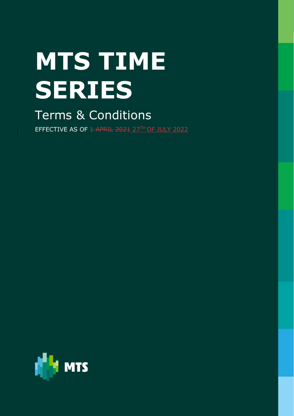# **MTS TIME SERIES**

Terms & Conditions

EFFECTIVE AS OF <del>1 APRIL 2021</del> 27TH OF JULY 2022

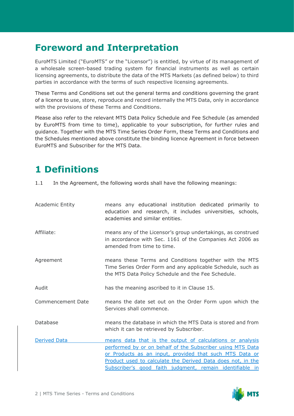#### **Foreword and Interpretation**

EuroMTS Limited ("EuroMTS" or the "Licensor") is entitled, by virtue of its management of a wholesale screen-based trading system for financial instruments as well as certain licensing agreements, to distribute the data of the MTS Markets (as defined below) to third parties in accordance with the terms of such respective licensing agreements.

These Terms and Conditions set out the general terms and conditions governing the grant of a licence to use, store, reproduce and record internally the MTS Data, only in accordance with the provisions of these Terms and Conditions.

Please also refer to the relevant MTS Data Policy Schedule and Fee Schedule (as amended by EuroMTS from time to time), applicable to your subscription, for further rules and guidance. Together with the MTS Time Series Order Form, these Terms and Conditions and the Schedules mentioned above constitute the binding licence Agreement in force between EuroMTS and Subscriber for the MTS Data.

### **1 Definitions**

1.1 In the Agreement, the following words shall have the following meanings:

| <b>Academic Entity</b> | means any educational institution dedicated primarily to<br>education and research, it includes universities, schools,<br>academies and similar entities.                                                                                                                                                     |
|------------------------|---------------------------------------------------------------------------------------------------------------------------------------------------------------------------------------------------------------------------------------------------------------------------------------------------------------|
| Affiliate:             | means any of the Licensor's group undertakings, as construed<br>in accordance with Sec. 1161 of the Companies Act 2006 as<br>amended from time to time.                                                                                                                                                       |
| Agreement              | means these Terms and Conditions together with the MTS<br>Time Series Order Form and any applicable Schedule, such as<br>the MTS Data Policy Schedule and the Fee Schedule.                                                                                                                                   |
| Audit                  | has the meaning ascribed to it in Clause 15.                                                                                                                                                                                                                                                                  |
| Commencement Date      | means the date set out on the Order Form upon which the<br>Services shall commence.                                                                                                                                                                                                                           |
| Database               | means the database in which the MTS Data is stored and from<br>which it can be retrieved by Subscriber.                                                                                                                                                                                                       |
| <b>Derived Data</b>    | means data that is the output of calculations or analysis<br>performed by or on behalf of the Subscriber using MTS Data<br>or Products as an input, provided that such MTS Data or<br>Product used to calculate the Derived Data does not, in the<br>Subscriber's good faith judgment, remain identifiable in |

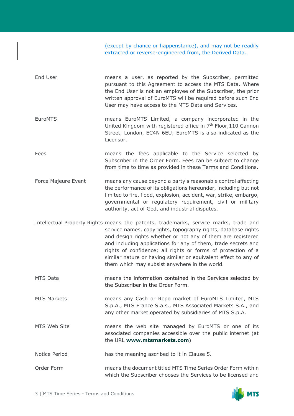(except by chance or happenstance), and may not be readily extracted or reverse-engineered from, the Derived Data.

- End User means a user, as reported by the Subscriber, permitted pursuant to this Agreement to access the MTS Data. Where the End User is not an employee of the Subscriber, the prior written approval of EuroMTS will be required before such End User may have access to the MTS Data and Services.
- EuroMTS means EuroMTS Limited, a company incorporated in the United Kingdom with registered office in 7<sup>th</sup> Floor, 110 Cannon Street, London, EC4N 6EU; EuroMTS is also indicated as the Licensor.
- Fees means the fees applicable to the Service selected by Subscriber in the Order Form. Fees can be subject to change from time to time as provided in these Terms and Conditions.
- Force Majeure Event means any cause beyond a party's reasonable control affecting the performance of its obligations hereunder, including but not limited to fire, flood, explosion, accident, war, strike, embargo, governmental or regulatory requirement, civil or military authority, act of God, and industrial disputes.
- Intellectual Property Rights means the patents, trademarks, service marks, trade and service names, copyrights, topography rights, database rights and design rights whether or not any of them are registered and including applications for any of them, trade secrets and rights of confidence; all rights or forms of protection of a similar nature or having similar or equivalent effect to any of them which may subsist anywhere in the world.
- MTS Data means the information contained in the Services selected by the Subscriber in the Order Form.
- MTS Markets means any Cash or Repo market of EuroMTS Limited, MTS S.p.A., MTS France S.a.s., MTS Associated Markets S.A., and any other market operated by subsidiaries of MTS S.p.A.
- MTS Web Site means the web site managed by EuroMTS or one of its associated companies accessible over the public internet (at the URL **[www.mtsmarkets.com](http://www.mtsmarkets.com/Products/MTS-Data)**)
- Notice Period has the meaning ascribed to it in Clause 5.
- Order Form means the document titled MTS Time Series Order Form within which the Subscriber chooses the Services to be licensed and

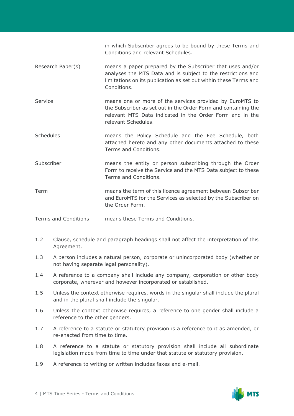in which Subscriber agrees to be bound by these Terms and Conditions and relevant Schedules.

- Research Paper(s) means a paper prepared by the Subscriber that uses and/or analyses the MTS Data and is subject to the restrictions and limitations on its publication as set out within these Terms and Conditions.
- Service means one or more of the services provided by EuroMTS to the Subscriber as set out in the Order Form and containing the relevant MTS Data indicated in the Order Form and in the relevant Schedules.
- Schedules means the Policy Schedule and the Fee Schedule, both attached hereto and any other documents attached to these Terms and Conditions.
- Subscriber means the entity or person subscribing through the Order Form to receive the Service and the MTS Data subject to these Terms and Conditions.
- Term means the term of this licence agreement between Subscriber and EuroMTS for the Services as selected by the Subscriber on the Order Form.

Terms and Conditions means these Terms and Conditions.

- 1.2 Clause, schedule and paragraph headings shall not affect the interpretation of this Agreement.
- 1.3 A person includes a natural person, corporate or unincorporated body (whether or not having separate legal personality).
- 1.4 A reference to a company shall include any company, corporation or other body corporate, wherever and however incorporated or established.
- 1.5 Unless the context otherwise requires, words in the singular shall include the plural and in the plural shall include the singular.
- 1.6 Unless the context otherwise requires, a reference to one gender shall include a reference to the other genders.
- 1.7 A reference to a statute or statutory provision is a reference to it as amended, or re-enacted from time to time.
- 1.8 A reference to a statute or statutory provision shall include all subordinate legislation made from time to time under that statute or statutory provision.
- 1.9 A reference to writing or written includes faxes and e-mail.

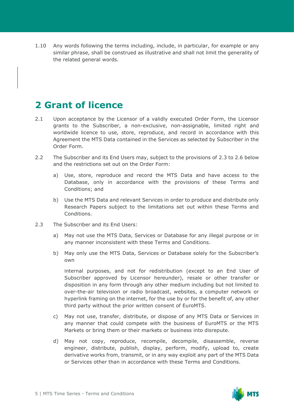1.10 Any words following the terms including, include, in particular, for example or any similar phrase, shall be construed as illustrative and shall not limit the generality of the related general words.

#### **2 Grant of licence**

- 2.1 Upon acceptance by the Licensor of a validly executed Order Form, the Licensor grants to the Subscriber, a non-exclusive, non-assignable, limited right and worldwide licence to use, store, reproduce, and record in accordance with this Agreement the MTS Data contained in the Services as selected by Subscriber in the Order Form.
- 2.2 The Subscriber and its End Users may, subject to the provisions of 2.3 to 2.6 below and the restrictions set out on the Order Form:
	- a) Use, store, reproduce and record the MTS Data and have access to the Database, only in accordance with the provisions of these Terms and Conditions; and
	- b) Use the MTS Data and relevant Services in order to produce and distribute only Research Papers subject to the limitations set out within these Terms and Conditions.
- 2.3 The Subscriber and its End Users:
	- a) May not use the MTS Data, Services or Database for any illegal purpose or in any manner inconsistent with these Terms and Conditions.
	- b) May only use the MTS Data, Services or Database solely for the Subscriber's own

internal purposes, and not for redistribution (except to an End User of Subscriber approved by Licensor hereunder), resale or other transfer or disposition in any form through any other medium including but not limited to over-the-air television or radio broadcast, websites, a computer network or hyperlink framing on the internet, for the use by or for the benefit of, any other third party without the prior written consent of EuroMTS.

- c) May not use, transfer, distribute, or dispose of any MTS Data or Services in any manner that could compete with the business of EuroMTS or the MTS Markets or bring them or their markets or business into disrepute.
- d) May not copy, reproduce, recompile, decompile, disassemble, reverse engineer, distribute, publish, display, perform, modify, upload to, create derivative works from, transmit, or in any way exploit any part of the MTS Data or Services other than in accordance with these Terms and Conditions.

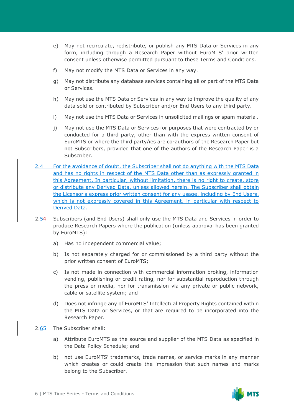- e) May not recirculate, redistribute, or publish any MTS Data or Services in any form, including through a Research Paper without EuroMTS' prior written consent unless otherwise permitted pursuant to these Terms and Conditions.
- f) May not modify the MTS Data or Services in any way.
- g) May not distribute any database services containing all or part of the MTS Data or Services.
- h) May not use the MTS Data or Services in any way to improve the quality of any data sold or contributed by Subscriber and/or End Users to any third party.
- i) May not use the MTS Data or Services in unsolicited mailings or spam material.
- j) May not use the MTS Data or Services for purposes that were contracted by or conducted for a third party, other than with the express written consent of EuroMTS or where the third party/ies are co-authors of the Research Paper but not Subscribers, provided that one of the authors of the Research Paper is a Subscriber.
- 2.4 For the avoidance of doubt, the Subscriber shall not do anything with the MTS Data and has no rights in respect of the MTS Data other than as expressly granted in this Agreement. In particular, without limitation, there is no right to create, store or distribute any Derived Data, unless allowed herein. The Subscriber shall obtain the Licensor's express prior written consent for any usage, including by End Users, which is not expressly covered in this Agreement, in particular with respect to Derived Data.
- 2.54 Subscribers (and End Users) shall only use the MTS Data and Services in order to produce Research Papers where the publication (unless approval has been granted by EuroMTS):
	- a) Has no independent commercial value;
	- b) Is not separately charged for or commissioned by a third party without the prior written consent of EuroMTS;
	- c) Is not made in connection with commercial information broking, information vending, publishing or credit rating, nor for substantial reproduction through the press or media, nor for transmission via any private or public network, cable or satellite system; and
	- d) Does not infringe any of EuroMTS' Intellectual Property Rights contained within the MTS Data or Services, or that are required to be incorporated into the Research Paper.
- 2.65 The Subscriber shall:
	- a) Attribute EuroMTS as the source and supplier of the MTS Data as specified in the Data Policy Schedule; and
	- b) not use EuroMTS' trademarks, trade names, or service marks in any manner which creates or could create the impression that such names and marks belong to the Subscriber.

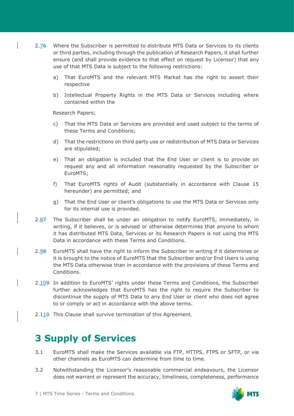- 2.76 Where the Subscriber is permitted to distribute MTS Data or Services to its clients or third parties, including through the publication of Research Papers, it shall further ensure (and shall provide evidence to that effect on request by Licensor) that any use of that MTS Data is subject to the following restrictions:
	- a) That EuroMTS and the relevant MTS Market has the right to assert their respective
	- b) Intellectual Property Rights in the MTS Data or Services including where contained within the

Research Papers;

- c) That the MTS Data or Services are provided and used subject to the terms of these Terms and Conditions;
- d) That the restrictions on third party use or redistribution of MTS Data or Services are stipulated;
- e) That an obligation is included that the End User or client is to provide on request any and all information reasonably requested by the Subscriber or EuroMTS;
- f) That EuroMTS rights of Audit (substantially in accordance with Clause 15 hereunder) are permitted; and
- g) That the End User or client's obligations to use the MTS Data or Services only for its internal use is provided.
- 2.87 The Subscriber shall be under an obligation to notify EuroMTS, immediately, in writing, if it believes, or is advised or otherwise determines that anyone to whom it has distributed MTS Data, Services or its Research Papers is not using the MTS Data in accordance with these Terms and Conditions.
- 2.98 EuroMTS shall have the right to inform the Subscriber in writing if it determines or it is brought to the notice of EuroMTS that the Subscriber and/or End Users is using the MTS Data otherwise than in accordance with the provisions of these Terms and Conditions.
- 2.109 In addition to EuroMTS' rights under these Terms and Conditions, the Subscriber further acknowledges that EuroMTS has the right to require the Subscriber to discontinue the supply of MTS Data to any End User or client who does not agree to or comply or act in accordance with the above terms.
- $2.110$  This Clause shall survive termination of this Agreement.

### **3 Supply of Services**

- 3.1 EuroMTS shall make the Services available via FTP, HTTPS, FTPS or SFTP, or via other channels as EuroMTS can determine from time to time.
- 3.2 Notwithstanding the Licensor's reasonable commercial endeavours, the Licensor does not warrant or represent the accuracy, timeliness, completeness, performance

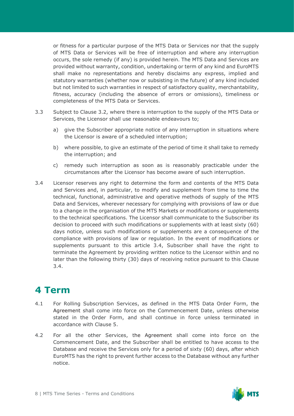or fitness for a particular purpose of the MTS Data or Services nor that the supply of MTS Data or Services will be free of interruption and where any interruption occurs, the sole remedy (if any) is provided herein. The MTS Data and Services are provided without warranty, condition, undertaking or term of any kind and EuroMTS shall make no representations and hereby disclaims any express, implied and statutory warranties (whether now or subsisting in the future) of any kind included but not limited to such warranties in respect of satisfactory quality, merchantability, fitness, accuracy (including the absence of errors or omissions), timeliness or completeness of the MTS Data or Services.

- 3.3 Subject to Clause 3.2, where there is interruption to the supply of the MTS Data or Services, the Licensor shall use reasonable endeavours to;
	- a) give the Subscriber appropriate notice of any interruption in situations where the Licensor is aware of a scheduled interruption;
	- b) where possible, to give an estimate of the period of time it shall take to remedy the interruption; and
	- c) remedy such interruption as soon as is reasonably practicable under the circumstances after the Licensor has become aware of such interruption.
- 3.4 Licensor reserves any right to determine the form and contents of the MTS Data and Services and, in particular, to modify and supplement from time to time the technical, functional, administrative and operative methods of supply of the MTS Data and Services, wherever necessary for complying with provisions of law or due to a change in the organisation of the MTS Markets or modifications or supplements to the technical specifications. The Licensor shall communicate to the Subscriber its decision to proceed with such modifications or supplements with at least sixty (60) days notice, unless such modifications or supplements are a consequence of the compliance with provisions of law or regulation. In the event of modifications or supplements pursuant to this article 3.4, Subscriber shall have the right to terminate the Agreement by providing written notice to the Licensor within and no later than the following thirty (30) days of receiving notice pursuant to this Clause 3.4.

### **4 Term**

- 4.1 For Rolling Subscription Services, as defined in the MTS Data Order Form, the Agreement shall come into force on the Commencement Date, unless otherwise stated in the Order Form, and shall continue in force unless terminated in accordance with Clause 5.
- 4.2 For all the other Services, the Agreement shall come into force on the Commencement Date, and the Subscriber shall be entitled to have access to the Database and receive the Services only for a period of sixty (60) days, after which EuroMTS has the right to prevent further access to the Database without any further notice.

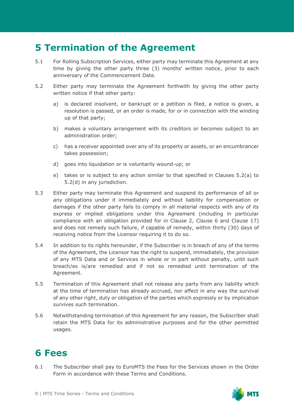### **5 Termination of the Agreement**

- 5.1 For Rolling Subscription Services, either party may terminate this Agreement at any time by giving the other party three (3) months' written notice, prior to each anniversary of the Commencement Date.
- 5.2 Either party may terminate the Agreement forthwith by giving the other party written notice if that other party:
	- a) is declared insolvent, or bankrupt or a petition is filed, a notice is given, a resolution is passed, or an order is made, for or in connection with the winding up of that party;
	- b) makes a voluntary arrangement with its creditors or becomes subject to an administration order;
	- c) has a receiver appointed over any of its property or assets, or an encumbrancer takes possession;
	- d) goes into liquidation or is voluntarily wound-up; or
	- e) takes or is subject to any action similar to that specified in Clauses 5.2(a) to 5.2(d) in any jurisdiction.
- 5.3 Either party may terminate this Agreement and suspend its performance of all or any obligations under it immediately and without liability for compensation or damages if the other party fails to comply in all material respects with any of its express or implied obligations under this Agreement (including in particular compliance with an obligation provided for in Clause 2, Clause 6 and Clause 17) and does not remedy such failure, if capable of remedy, within thirty (30) days of receiving notice from the Licensor requiring it to do so.
- 5.4 In addition to its rights hereunder, if the Subscriber is in breach of any of the terms of the Agreement, the Licensor has the right to suspend, immediately, the provision of any MTS Data and or Services in whole or in part without penalty, until such breach/es is/are remedied and if not so remedied until termination of the Agreement.
- 5.5 Termination of this Agreement shall not release any party from any liability which at the time of termination has already accrued, nor affect in any way the survival of any other right, duty or obligation of the parties which expressly or by implication survives such termination.
- 5.6 Notwithstanding termination of this Agreement for any reason, the Subscriber shall retain the MTS Data for its administrative purposes and for the other permitted usages.

### **6 Fees**

6.1 The Subscriber shall pay to EuroMTS the Fees for the Services shown in the Order Form in accordance with these Terms and Conditions.

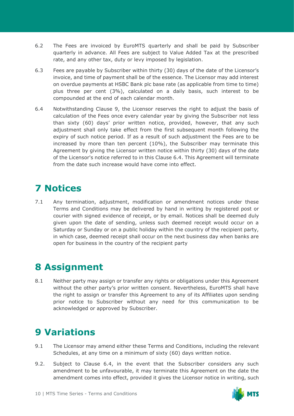- 6.2 The Fees are invoiced by EuroMTS quarterly and shall be paid by Subscriber quarterly in advance. All Fees are subject to Value Added Tax at the prescribed rate, and any other tax, duty or levy imposed by legislation.
- 6.3 Fees are payable by Subscriber within thirty (30) days of the date of the Licensor's invoice, and time of payment shall be of the essence. The Licensor may add interest on overdue payments at HSBC Bank plc base rate (as applicable from time to time) plus three per cent (3%), calculated on a daily basis, such interest to be compounded at the end of each calendar month.
- 6.4 Notwithstanding Clause 9, the Licensor reserves the right to adjust the basis of calculation of the Fees once every calendar year by giving the Subscriber not less than sixty (60) days' prior written notice, provided, however, that any such adjustment shall only take effect from the first subsequent month following the expiry of such notice period. If as a result of such adjustment the Fees are to be increased by more than ten percent (10%), the Subscriber may terminate this Agreement by giving the Licensor written notice within thirty (30) days of the date of the Licensor's notice referred to in this Clause 6.4. This Agreement will terminate from the date such increase would have come into effect.

## **7 Notices**

7.1 Any termination, adjustment, modification or amendment notices under these Terms and Conditions may be delivered by hand in writing by registered post or courier with signed evidence of receipt, or by email. Notices shall be deemed duly given upon the date of sending, unless such deemed receipt would occur on a Saturday or Sunday or on a public holiday within the country of the recipient party, in which case, deemed receipt shall occur on the next business day when banks are open for business in the country of the recipient party

#### **8 Assignment**

8.1 Neither party may assign or transfer any rights or obligations under this Agreement without the other party's prior written consent. Nevertheless, EuroMTS shall have the right to assign or transfer this Agreement to any of its Affiliates upon sending prior notice to Subscriber without any need for this communication to be acknowledged or approved by Subscriber.

## **9 Variations**

- 9.1 The Licensor may amend either these Terms and Conditions, including the relevant Schedules, at any time on a minimum of sixty (60) days written notice.
- 9.2. Subject to Clause 6.4, in the event that the Subscriber considers any such amendment to be unfavourable, it may terminate this Agreement on the date the amendment comes into effect, provided it gives the Licensor notice in writing, such

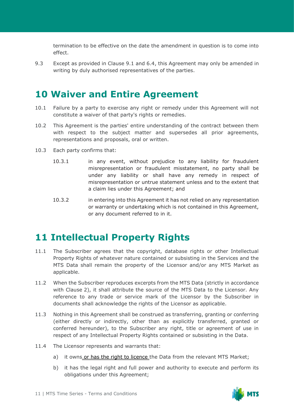termination to be effective on the date the amendment in question is to come into effect.

9.3 Except as provided in Clause 9.1 and 6.4, this Agreement may only be amended in writing by duly authorised representatives of the parties.

#### **10 Waiver and Entire Agreement**

- 10.1 Failure by a party to exercise any right or remedy under this Agreement will not constitute a waiver of that party's rights or remedies.
- 10.2 This Agreement is the parties' entire understanding of the contract between them with respect to the subject matter and supersedes all prior agreements, representations and proposals, oral or written.
- 10.3 Each party confirms that:
	- 10.3.1 in any event, without prejudice to any liability for fraudulent misrepresentation or fraudulent misstatement, no party shall be under any liability or shall have any remedy in respect of misrepresentation or untrue statement unless and to the extent that a claim lies under this Agreement; and
	- 10.3.2 in entering into this Agreement it has not relied on any representation or warranty or undertaking which is not contained in this Agreement, or any document referred to in it.

#### **11 Intellectual Property Rights**

- 11.1 The Subscriber agrees that the copyright, database rights or other Intellectual Property Rights of whatever nature contained or subsisting in the Services and the MTS Data shall remain the property of the Licensor and/or any MTS Market as applicable.
- 11.2 When the Subscriber reproduces excerpts from the MTS Data (strictly in accordance with Clause 2), it shall attribute the source of the MTS Data to the Licensor. Any reference to any trade or service mark of the Licensor by the Subscriber in documents shall acknowledge the rights of the Licensor as applicable.
- 11.3 Nothing in this Agreement shall be construed as transferring, granting or conferring (either directly or indirectly, other than as explicitly transferred, granted or conferred hereunder), to the Subscriber any right, title or agreement of use in respect of any Intellectual Property Rights contained or subsisting in the Data.
- 11.4 The Licensor represents and warrants that:
	- a) it owns or has the right to licence the Data from the relevant MTS Market;
	- b) it has the legal right and full power and authority to execute and perform its obligations under this Agreement;

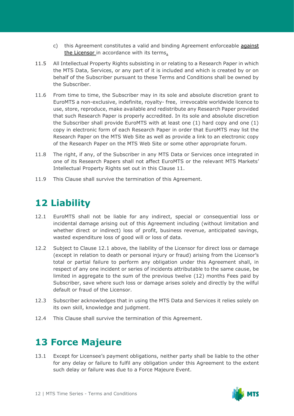- c) this Agreement constitutes a valid and binding Agreement enforceable against the Licensor in accordance with its terms.
- 11.5 All Intellectual Property Rights subsisting in or relating to a Research Paper in which the MTS Data, Services, or any part of it is included and which is created by or on behalf of the Subscriber pursuant to these Terms and Conditions shall be owned by the Subscriber.
- 11.6 From time to time, the Subscriber may in its sole and absolute discretion grant to EuroMTS a non-exclusive, indefinite, royalty- free, irrevocable worldwide licence to use, store, reproduce, make available and redistribute any Research Paper provided that such Research Paper is properly accredited. In its sole and absolute discretion the Subscriber shall provide EuroMTS with at least one (1) hard copy and one (1) copy in electronic form of each Research Paper in order that EuroMTS may list the Research Paper on the MTS Web Site as well as provide a link to an electronic copy of the Research Paper on the MTS Web Site or some other appropriate forum.
- 11.8 The right, if any, of the Subscriber in any MTS Data or Services once integrated in one of its Research Papers shall not affect EuroMTS or the relevant MTS Markets' Intellectual Property Rights set out in this Clause 11.
- 11.9 This Clause shall survive the termination of this Agreement.

## **12 Liability**

- 12.1 EuroMTS shall not be liable for any indirect, special or consequential loss or incidental damage arising out of this Agreement including (without limitation and whether direct or indirect) loss of profit, business revenue, anticipated savings, wasted expenditure loss of good will or loss of data.
- 12.2 Subject to Clause 12.1 above, the liability of the Licensor for direct loss or damage (except in relation to death or personal injury or fraud) arising from the Licensor's total or partial failure to perform any obligation under this Agreement shall, in respect of any one incident or series of incidents attributable to the same cause, be limited in aggregate to the sum of the previous twelve (12) months Fees paid by Subscriber, save where such loss or damage arises solely and directly by the wilful default or fraud of the Licensor.
- 12.3 Subscriber acknowledges that in using the MTS Data and Services it relies solely on its own skill, knowledge and judgment.
- 12.4 This Clause shall survive the termination of this Agreement.

## **13 Force Majeure**

13.1 Except for Licensee's payment obligations, neither party shall be liable to the other for any delay or failure to fulfil any obligation under this Agreement to the extent such delay or failure was due to a Force Majeure Event.

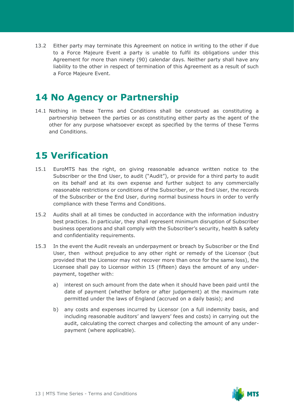13.2 Either party may terminate this Agreement on notice in writing to the other if due to a Force Majeure Event a party is unable to fulfil its obligations under this Agreement for more than ninety (90) calendar days. Neither party shall have any liability to the other in respect of termination of this Agreement as a result of such a Force Majeure Event.

#### **14 No Agency or Partnership**

14.1 Nothing in these Terms and Conditions shall be construed as constituting a partnership between the parties or as constituting either party as the agent of the other for any purpose whatsoever except as specified by the terms of these Terms and Conditions.

#### **15 Verification**

- 15.1 EuroMTS has the right, on giving reasonable advance written notice to the Subscriber or the End User, to audit ("Audit"), or provide for a third party to audit on its behalf and at its own expense and further subject to any commercially reasonable restrictions or conditions of the Subscriber, or the End User, the records of the Subscriber or the End User, during normal business hours in order to verify compliance with these Terms and Conditions.
- 15.2 Audits shall at all times be conducted in accordance with the information industry best practices. In particular, they shall represent minimum disruption of Subscriber business operations and shall comply with the Subscriber's security, health & safety and confidentiality requirements.
- 15.3 In the event the Audit reveals an underpayment or breach by Subscriber or the End User, then without prejudice to any other right or remedy of the Licensor (but provided that the Licensor may not recover more than once for the same loss), the Licensee shall pay to Licensor within 15 (fifteen) days the amount of any underpayment, together with:
	- a) interest on such amount from the date when it should have been paid until the date of payment (whether before or after judgement) at the maximum rate permitted under the laws of England (accrued on a daily basis); and
	- b) any costs and expenses incurred by Licensor (on a full indemnity basis, and including reasonable auditors' and lawyers' fees and costs) in carrying out the audit, calculating the correct charges and collecting the amount of any underpayment (where applicable).

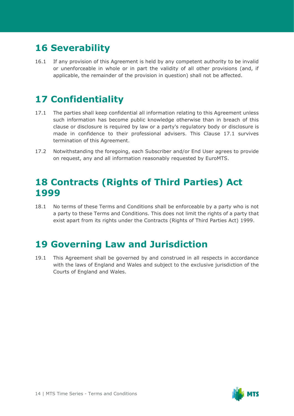## **16 Severability**

16.1 If any provision of this Agreement is held by any competent authority to be invalid or unenforceable in whole or in part the validity of all other provisions (and, if applicable, the remainder of the provision in question) shall not be affected.

## **17 Confidentiality**

- 17.1 The parties shall keep confidential all information relating to this Agreement unless such information has become public knowledge otherwise than in breach of this clause or disclosure is required by law or a party's regulatory body or disclosure is made in confidence to their professional advisers. This Clause 17.1 survives termination of this Agreement.
- 17.2 Notwithstanding the foregoing, each Subscriber and/or End User agrees to provide on request, any and all information reasonably requested by EuroMTS.

#### **18 Contracts (Rights of Third Parties) Act 1999**

18.1 No terms of these Terms and Conditions shall be enforceable by a party who is not a party to these Terms and Conditions. This does not limit the rights of a party that exist apart from its rights under the Contracts (Rights of Third Parties Act) 1999.

### **19 Governing Law and Jurisdiction**

19.1 This Agreement shall be governed by and construed in all respects in accordance with the laws of England and Wales and subject to the exclusive jurisdiction of the Courts of England and Wales.